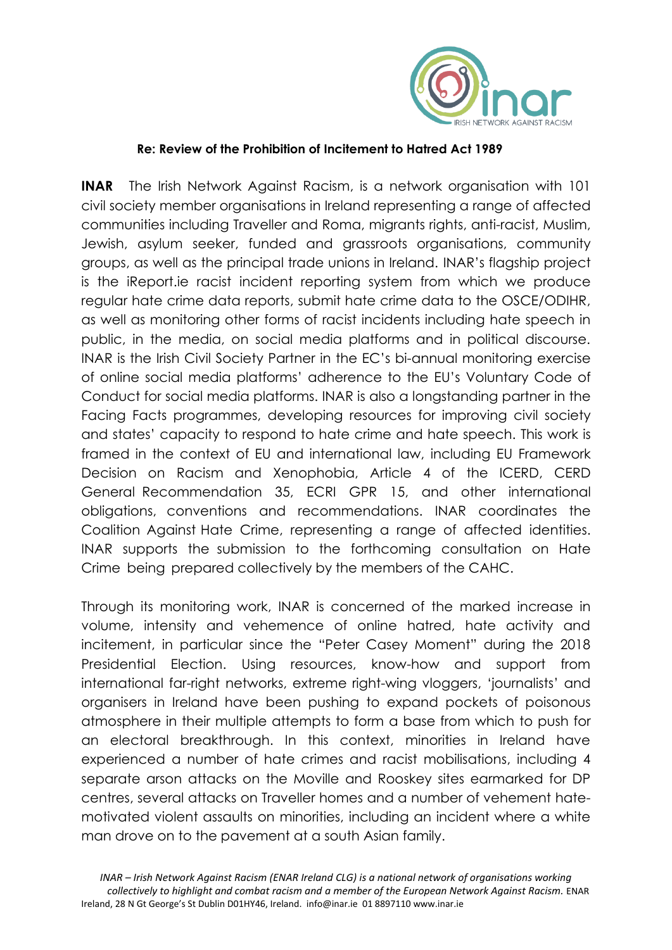

## **Re: Review of the Prohibition of Incitement to Hatred Act 1989**

**INAR** The Irish Network Against Racism, is a network organisation with 101 civil society member organisations in Ireland representing a range of affected communities including Traveller and Roma, migrants rights, anti-racist, Muslim, Jewish, asylum seeker, funded and grassroots organisations, community groups, as well as the principal trade unions in Ireland. INAR's flagship project is the iReport.ie racist incident reporting system from which we produce regular hate crime data reports, submit hate crime data to the OSCE/ODIHR, as well as monitoring other forms of racist incidents including hate speech in public, in the media, on social media platforms and in political discourse. INAR is the Irish Civil Society Partner in the EC's bi-annual monitoring exercise of online social media platforms' adherence to the EU's Voluntary Code of Conduct for social media platforms. INAR is also a longstanding partner in the Facing Facts programmes, developing resources for improving civil society and states' capacity to respond to hate crime and hate speech. This work is framed in the context of EU and international law, including EU Framework Decision on Racism and Xenophobia, Article 4 of the ICERD, CERD General Recommendation 35, ECRI GPR 15, and other international obligations, conventions and recommendations. INAR coordinates the Coalition Against Hate Crime, representing a range of affected identities. INAR supports the submission to the forthcoming consultation on Hate Crime being prepared collectively by the members of the CAHC.

Through its monitoring work, INAR is concerned of the marked increase in volume, intensity and vehemence of online hatred, hate activity and incitement, in particular since the "Peter Casey Moment" during the 2018 Presidential Election. Using resources, know-how and support from international far-right networks, extreme right-wing vloggers, 'journalists' and organisers in Ireland have been pushing to expand pockets of poisonous atmosphere in their multiple attempts to form a base from which to push for an electoral breakthrough. In this context, minorities in Ireland have experienced a number of hate crimes and racist mobilisations, including 4 separate arson attacks on the Moville and Rooskey sites earmarked for DP centres, several attacks on Traveller homes and a number of vehement hatemotivated violent assaults on minorities, including an incident where a white man drove on to the pavement at a south Asian family.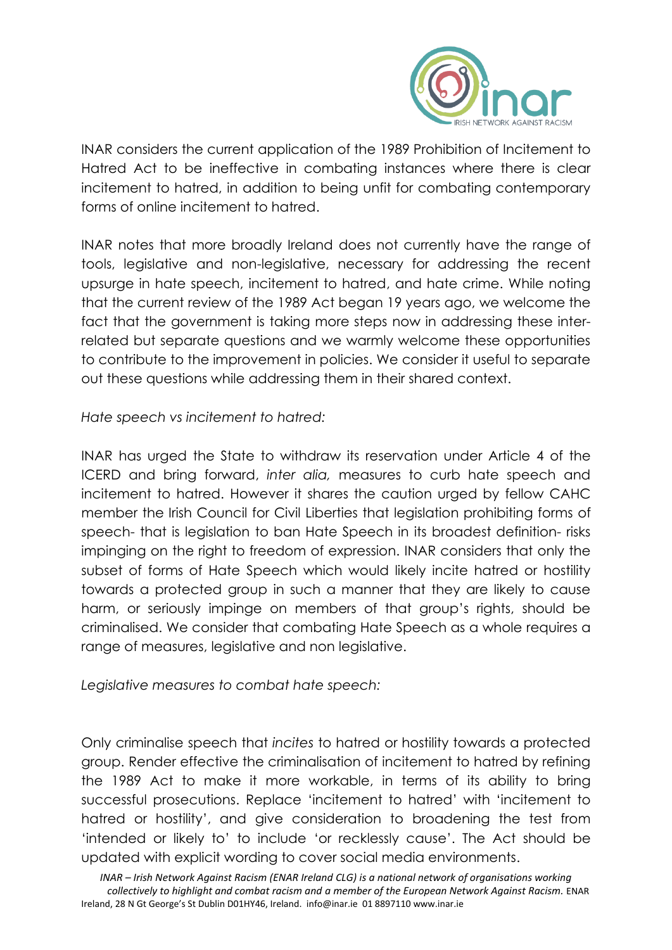

INAR considers the current application of the 1989 Prohibition of Incitement to Hatred Act to be ineffective in combating instances where there is clear incitement to hatred, in addition to being unfit for combating contemporary forms of online incitement to hatred.

INAR notes that more broadly Ireland does not currently have the range of tools, legislative and non-legislative, necessary for addressing the recent upsurge in hate speech, incitement to hatred, and hate crime. While noting that the current review of the 1989 Act began 19 years ago, we welcome the fact that the government is taking more steps now in addressing these interrelated but separate questions and we warmly welcome these opportunities to contribute to the improvement in policies. We consider it useful to separate out these questions while addressing them in their shared context.

*Hate speech vs incitement to hatred:* 

INAR has urged the State to withdraw its reservation under Article 4 of the ICERD and bring forward, *inter alia,* measures to curb hate speech and incitement to hatred. However it shares the caution urged by fellow CAHC member the Irish Council for Civil Liberties that legislation prohibiting forms of speech- that is legislation to ban Hate Speech in its broadest definition- risks impinging on the right to freedom of expression. INAR considers that only the subset of forms of Hate Speech which would likely incite hatred or hostility towards a protected group in such a manner that they are likely to cause harm, or seriously impinge on members of that group's rights, should be criminalised. We consider that combating Hate Speech as a whole requires a range of measures, legislative and non legislative.

*Legislative measures to combat hate speech:* 

Only criminalise speech that *incites* to hatred or hostility towards a protected group. Render effective the criminalisation of incitement to hatred by refining the 1989 Act to make it more workable, in terms of its ability to bring successful prosecutions. Replace 'incitement to hatred' with 'incitement to hatred or hostility', and give consideration to broadening the test from 'intended or likely to' to include 'or recklessly cause'. The Act should be updated with explicit wording to cover social media environments.

*INAR – Irish Network Against Racism (ENAR Ireland CLG) is a national network of organisations working collectively to highlight and combat racism and a member of the European Network Against Racism.* ENAR Ireland, 28 N Gt George's St Dublin D01HY46, Ireland. info@inar.ie 01 8897110 www.inar.ie